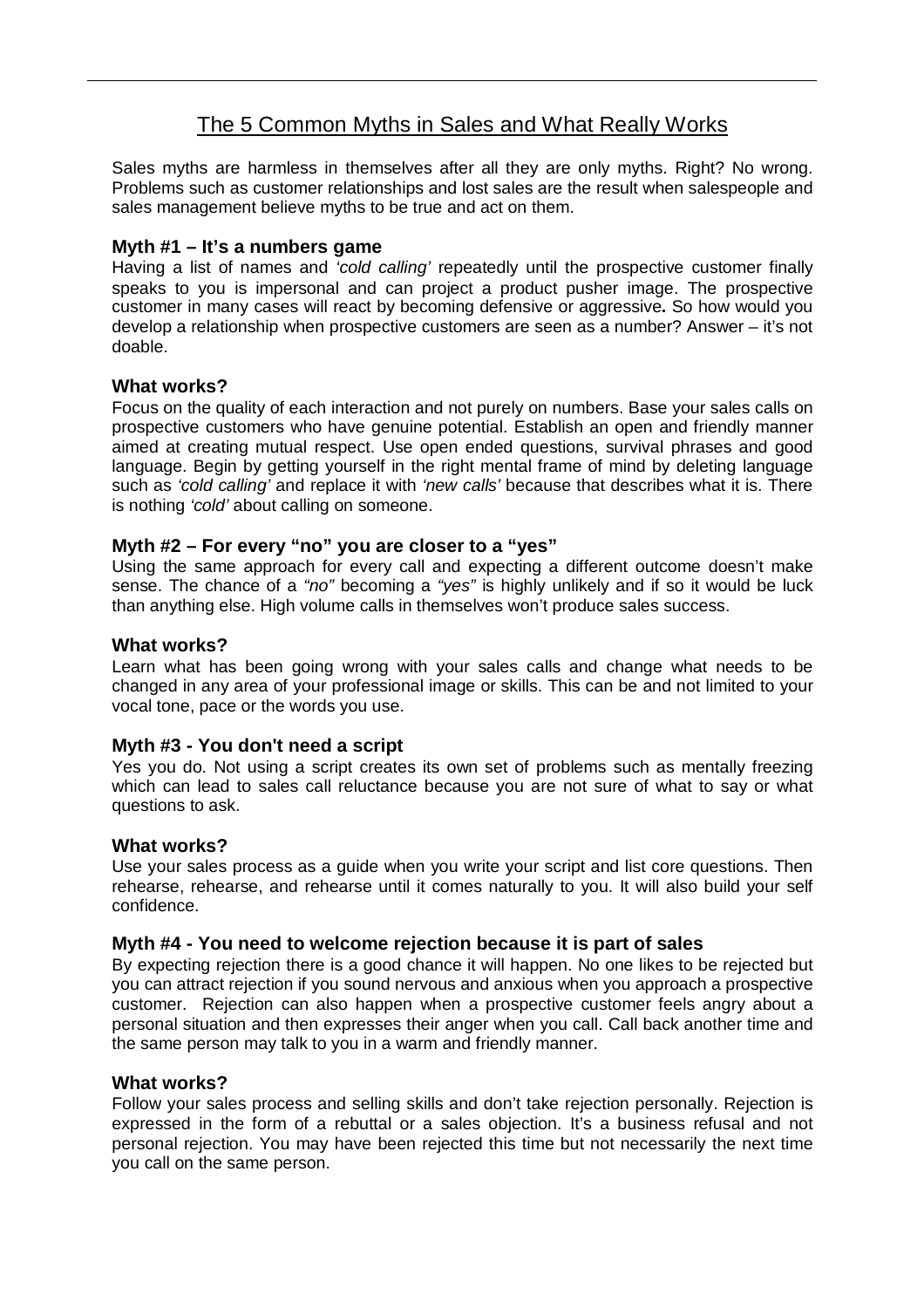# The 5 Common Myths in Sales and What Really Works

Sales myths are harmless in themselves after all they are only myths. Right? No wrong. Problems such as customer relationships and lost sales are the result when salespeople and sales management believe myths to be true and act on them.

## **Myth #1 – It's a numbers game**

Having a list of names and *'cold calling'* repeatedly until the prospective customer finally speaks to you is impersonal and can project a product pusher image. The prospective customer in many cases will react by becoming defensive or aggressive**.** So how would you develop a relationship when prospective customers are seen as a number? Answer – it's not doable.

## **What works?**

Focus on the quality of each interaction and not purely on numbers. Base your sales calls on prospective customers who have genuine potential. Establish an open and friendly manner aimed at creating mutual respect. Use open ended questions, survival phrases and good language. Begin by getting yourself in the right mental frame of mind by deleting language such as *'cold calling'* and replace it with *'new calls'* because that describes what it is. There is nothing *'cold'* about calling on someone.

# **Myth #2 – For every "no" you are closer to a "yes"**

Using the same approach for every call and expecting a different outcome doesn't make sense. The chance of a *"no"* becoming a *"yes"* is highly unlikely and if so it would be luck than anything else. High volume calls in themselves won't produce sales success.

## **What works?**

Learn what has been going wrong with your sales calls and change what needs to be changed in any area of your professional image or skills. This can be and not limited to your vocal tone, pace or the words you use.

## **Myth #3 - You don't need a script**

Yes you do. Not using a script creates its own set of problems such as mentally freezing which can lead to sales call reluctance because you are not sure of what to say or what questions to ask.

#### **What works?**

Use your sales process as a guide when you write your script and list core questions. Then rehearse, rehearse, and rehearse until it comes naturally to you. It will also build your self confidence.

#### **Myth #4 - You need to welcome rejection because it is part of sales**

By expecting rejection there is a good chance it will happen. No one likes to be rejected but you can attract rejection if you sound nervous and anxious when you approach a prospective customer. Rejection can also happen when a prospective customer feels angry about a personal situation and then expresses their anger when you call. Call back another time and the same person may talk to you in a warm and friendly manner.

#### **What works?**

Follow your sales process and selling skills and don't take rejection personally. Rejection is expressed in the form of a rebuttal or a sales objection. It's a business refusal and not personal rejection. You may have been rejected this time but not necessarily the next time you call on the same person.